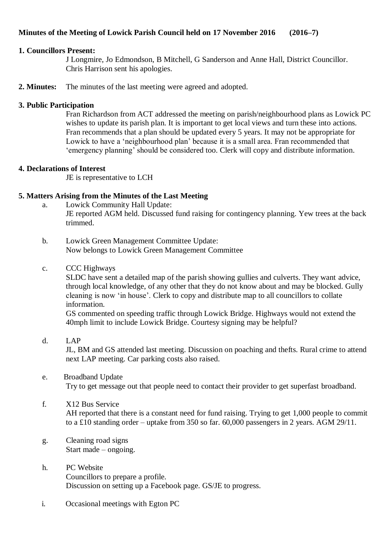# **Minutes of the Meeting of Lowick Parish Council held on 17 November 2016 (2016–7)**

# **1. Councillors Present:**

J Longmire, Jo Edmondson, B Mitchell, G Sanderson and Anne Hall, District Councillor. Chris Harrison sent his apologies.

**2. Minutes:** The minutes of the last meeting were agreed and adopted.

# **3. Public Participation**

Fran Richardson from ACT addressed the meeting on parish/neighbourhood plans as Lowick PC wishes to update its parish plan. It is important to get local views and turn these into actions. Fran recommends that a plan should be updated every 5 years. It may not be appropriate for Lowick to have a 'neighbourhood plan' because it is a small area. Fran recommended that 'emergency planning' should be considered too. Clerk will copy and distribute information.

# **4. Declarations of Interest**

JE is representative to LCH

# **5. Matters Arising from the Minutes of the Last Meeting**

a. Lowick Community Hall Update:

JE reported AGM held. Discussed fund raising for contingency planning. Yew trees at the back trimmed.

- b. Lowick Green Management Committee Update: Now belongs to Lowick Green Management Committee
- c. CCC Highways

SLDC have sent a detailed map of the parish showing gullies and culverts. They want advice, through local knowledge, of any other that they do not know about and may be blocked. Gully cleaning is now 'in house'. Clerk to copy and distribute map to all councillors to collate information.

GS commented on speeding traffic through Lowick Bridge. Highways would not extend the 40mph limit to include Lowick Bridge. Courtesy signing may be helpful?

d. LAP

JL, BM and GS attended last meeting. Discussion on poaching and thefts. Rural crime to attend next LAP meeting. Car parking costs also raised.

- e. Broadband Update Try to get message out that people need to contact their provider to get superfast broadband.
- f. X12 Bus Service

AH reported that there is a constant need for fund raising. Trying to get 1,000 people to commit to a £10 standing order – uptake from 350 so far. 60,000 passengers in 2 years. AGM 29/11.

- g. Cleaning road signs Start made – ongoing.
- h. PC Website Councillors to prepare a profile. Discussion on setting up a Facebook page. GS/JE to progress.
- i. Occasional meetings with Egton PC